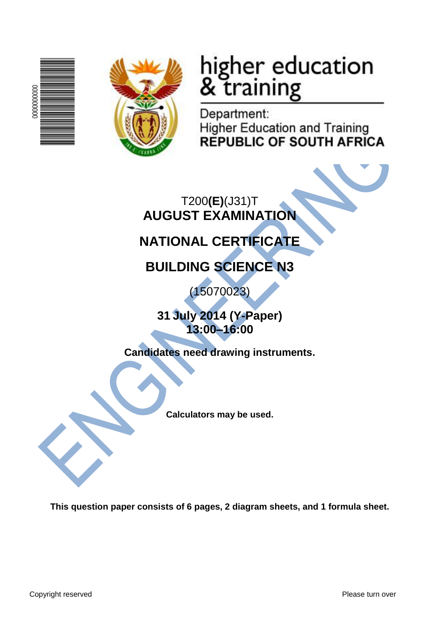



# higher education<br>& training

Department: **Higher Education and Training REPUBLIC OF SOUTH AFRICA** 

T200**(E)**(J31)T **AUGUST EXAMINATION**

## **NATIONAL CERTIFICATE**

**BUILDING SCIENCE N3**

(15070023)

**31 July 2014 (Y-Paper) 13:00–16:00**

**Candidates need drawing instruments.**

**Calculators may be used.**

**This question paper consists of 6 pages, 2 diagram sheets, and 1 formula sheet.**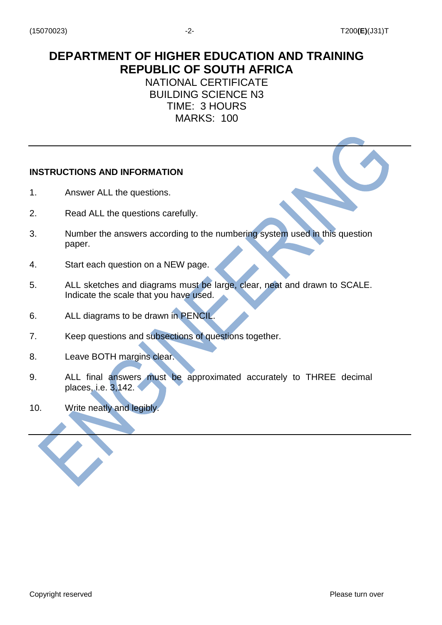## **DEPARTMENT OF HIGHER EDUCATION AND TRAINING REPUBLIC OF SOUTH AFRICA**

NATIONAL CERTIFICATE BUILDING SCIENCE N3 TIME: 3 HOURS MARKS: 100

#### **INSTRUCTIONS AND INFORMATION**

- 1. Answer ALL the questions.
- 2. Read ALL the questions carefully.
- 3. Number the answers according to the numbering system used in this question paper.
- 4. Start each question on a NEW page.
- 5. ALL sketches and diagrams must be large, clear, neat and drawn to SCALE. Indicate the scale that you have used.
- 6. ALL diagrams to be drawn in PENCIL.
- 7. Keep questions and subsections of questions together.
- 8. Leave BOTH margins clear.
- 9. ALL final answers must be approximated accurately to THREE decimal places, i.e. 3,142.
- 10. Write neatly and legibly.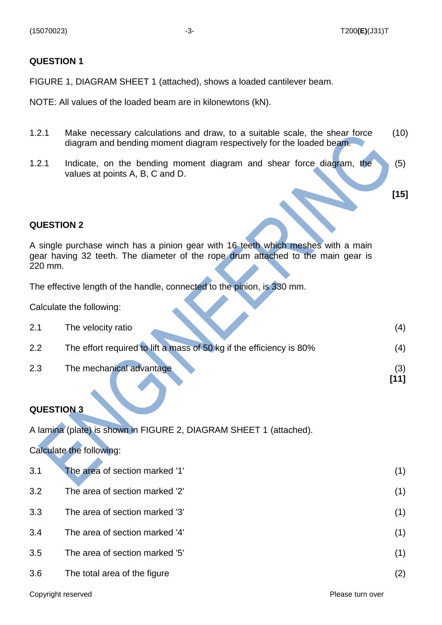#### **QUESTION 1**

FIGURE 1, DIAGRAM SHEET 1 (attached), shows a loaded cantilever beam.

NOTE: All values of the loaded beam are in kilonewtons (kN).

- 1.2.1 Make necessary calculations and draw, to a suitable scale, the shear force diagram and bending moment diagram respectively for the loaded beam. (10)
- 1.2.1 Indicate, on the bending moment diagram and shear force diagram, the values at points A, B, C and D. (5)

**[15]**

**[11]**

#### **QUESTION 2**

A single purchase winch has a pinion gear with 16 teeth which meshes with a main gear having 32 teeth. The diameter of the rope drum attached to the main gear is 220 mm.

The effective length of the handle, connected to the pinion, is 330 mm.

Calculate the following:

| 2.1  | The velocity ratio                                                   |        |
|------|----------------------------------------------------------------------|--------|
| 2.2  | The effort required to lift a mass of 50 kg if the efficiency is 80% |        |
| ົດ ລ |                                                                      | $\sim$ |

2.3 The mechanical advantage (3) (3)

#### **QUESTION 3**

A lamina (plate) is shown in FIGURE 2, DIAGRAM SHEET 1 (attached).

#### Calculate the following:

| 3.1 | The area of section marked '1' | (1) |
|-----|--------------------------------|-----|
| 3.2 | The area of section marked '2' | (1) |
| 3.3 | The area of section marked '3' | (1) |
| 3.4 | The area of section marked '4' | (1) |
| 3.5 | The area of section marked '5' | (1) |
| 3.6 | The total area of the figure   | (2) |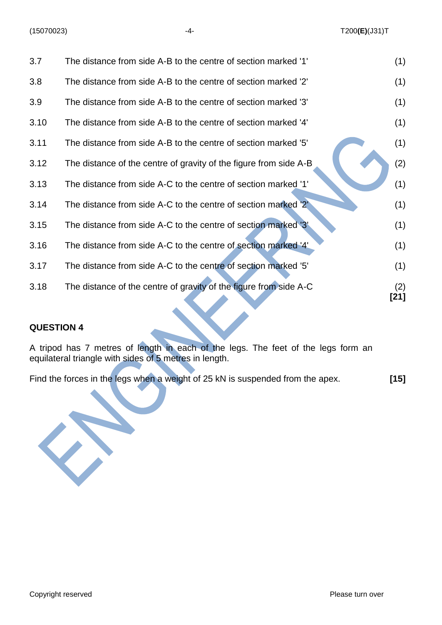| 3.7  | The distance from side A-B to the centre of section marked '1'    | (1)         |
|------|-------------------------------------------------------------------|-------------|
| 3.8  | The distance from side A-B to the centre of section marked '2'    | (1)         |
| 3.9  | The distance from side A-B to the centre of section marked '3'    | (1)         |
| 3.10 | The distance from side A-B to the centre of section marked '4'    | (1)         |
| 3.11 | The distance from side A-B to the centre of section marked '5'    | (1)         |
| 3.12 | The distance of the centre of gravity of the figure from side A-B | (2)         |
| 3.13 | The distance from side A-C to the centre of section marked '1'    | (1)         |
| 3.14 | The distance from side A-C to the centre of section marked '2'    | (1)         |
| 3.15 | The distance from side A-C to the centre of section marked '3"    | (1)         |
| 3.16 | The distance from side A-C to the centre of section marked '4'    | (1)         |
| 3.17 | The distance from side A-C to the centre of section marked '5'    | (1)         |
| 3.18 | The distance of the centre of gravity of the figure from side A-C | (2)<br>[21] |

#### **QUESTION 4**

A tripod has 7 metres of length in each of the legs. The feet of the legs form an equilateral triangle with sides of 5 metres in length.

Find the forces in the legs when a weight of 25 kN is suspended from the apex. **[15]**

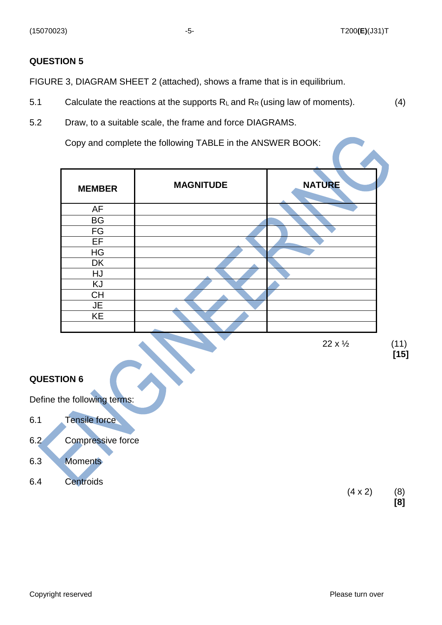#### **QUESTION 5**

FIGURE 3, DIAGRAM SHEET 2 (attached), shows a frame that is in equilibrium.

- 5.1 Calculate the reactions at the supports  $R_L$  and  $R_R$  (using law of moments). (4)
- 5.2 Draw, to a suitable scale, the frame and force DIAGRAMS.

Copy and complete the following TABLE in the ANSWER BOOK:

| <b>MEMBER</b> | <b>MAGNITUDE</b> | <b>NATURE</b> |
|---------------|------------------|---------------|
| AF            |                  |               |
| <b>BG</b>     |                  |               |
| FG            |                  |               |
| EF            |                  |               |
| HG            |                  |               |
| <b>DK</b>     |                  |               |
| HJ            |                  |               |
| KJ            |                  |               |
| <b>CH</b>     |                  |               |
| <b>JE</b>     |                  |               |
| KE            |                  |               |
|               |                  |               |

 $22 \times \frac{1}{2}$  (11)

**[15]**

#### **QUESTION 6**

Define the following terms:

- 6.1 Tensile force
- 6.2 Compressive force
- 6.3 Moments
- 6.4 Centroids

 $(4 \times 2)$  (8) **[8]**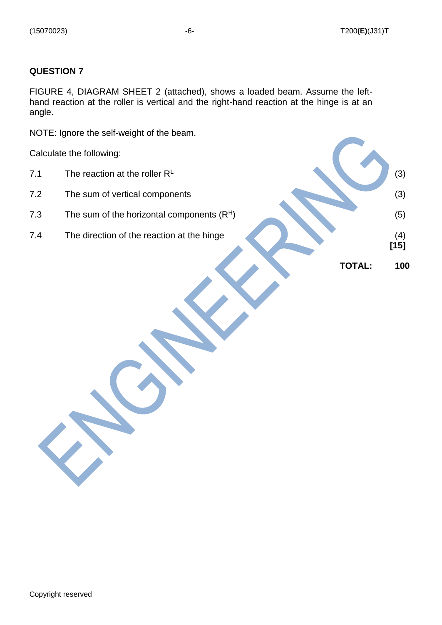#### **QUESTION 7**

FIGURE 4, DIAGRAM SHEET 2 (attached), shows a loaded beam. Assume the lefthand reaction at the roller is vertical and the right-hand reaction at the hinge is at an angle.

NOTE: Ignore the self-weight of the beam.

Calculate the following:

- 7.1 The reaction at the roller  $R^L$
- 
- 
- 

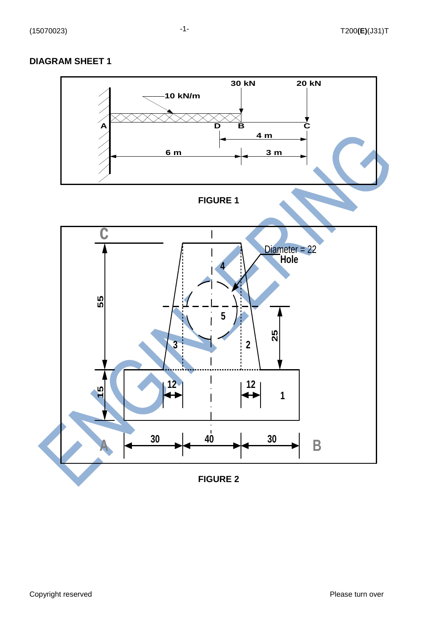#### **DIAGRAM SHEET 1**

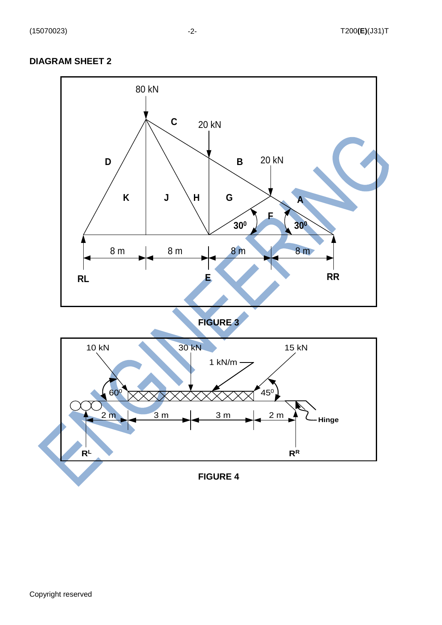## **DIAGRAM SHEET 2**